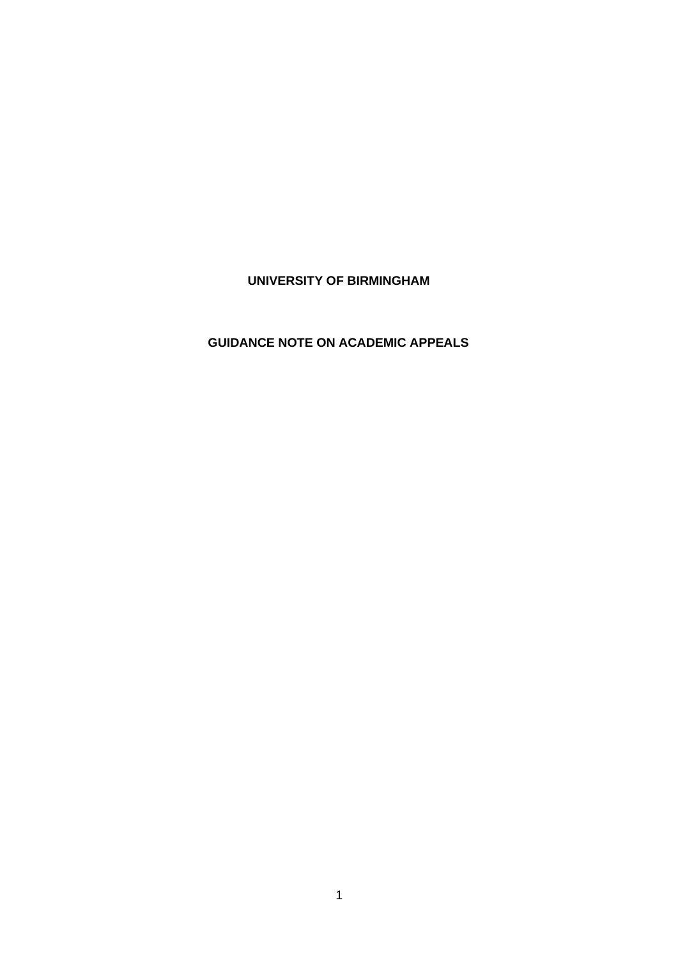# **UNIVERSITY OF BIRMINGHAM**

# **GUIDANCE NOTE ON ACADEMIC APPEALS**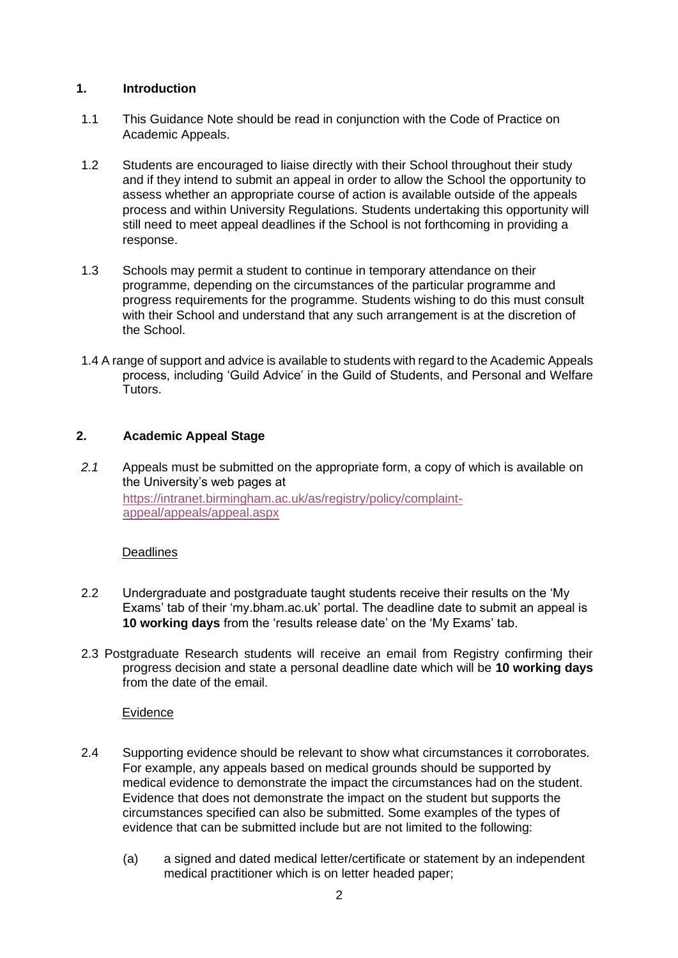## **1. Introduction**

- 1.1 This Guidance Note should be read in conjunction with the Code of Practice on Academic Appeals.
- 1.2 Students are encouraged to liaise directly with their School throughout their study and if they intend to submit an appeal in order to allow the School the opportunity to assess whether an appropriate course of action is available outside of the appeals process and within University Regulations. Students undertaking this opportunity will still need to meet appeal deadlines if the School is not forthcoming in providing a response.
- 1.3 Schools may permit a student to continue in temporary attendance on their programme, depending on the circumstances of the particular programme and progress requirements for the programme. Students wishing to do this must consult with their School and understand that any such arrangement is at the discretion of the School.
- 1.4 A range of support and advice is available to students with regard to the Academic Appeals process, including 'Guild Advice' in the Guild of Students, and Personal and Welfare Tutors.

# **2. Academic Appeal Stage**

*2.1* Appeals must be submitted on the appropriate form, a copy of which is available on the University's web pages at [https://intranet.birmingham.ac.uk/as/registry/policy/complaint](https://intranet.birmingham.ac.uk/as/registry/policy/complaint-appeal/appeals/appeal.aspx)[appeal/appeals/appeal.aspx](https://intranet.birmingham.ac.uk/as/registry/policy/complaint-appeal/appeals/appeal.aspx)

#### **Deadlines**

- 2.2 Undergraduate and postgraduate taught students receive their results on the 'My Exams' tab of their 'my.bham.ac.uk' portal. The deadline date to submit an appeal is **10 working days** from the 'results release date' on the 'My Exams' tab.
- 2.3 Postgraduate Research students will receive an email from Registry confirming their progress decision and state a personal deadline date which will be **10 working days**  from the date of the email.

## **Evidence**

- 2.4 Supporting evidence should be relevant to show what circumstances it corroborates. For example, any appeals based on medical grounds should be supported by medical evidence to demonstrate the impact the circumstances had on the student. Evidence that does not demonstrate the impact on the student but supports the circumstances specified can also be submitted. Some examples of the types of evidence that can be submitted include but are not limited to the following:
	- (a) a signed and dated medical letter/certificate or statement by an independent medical practitioner which is on letter headed paper;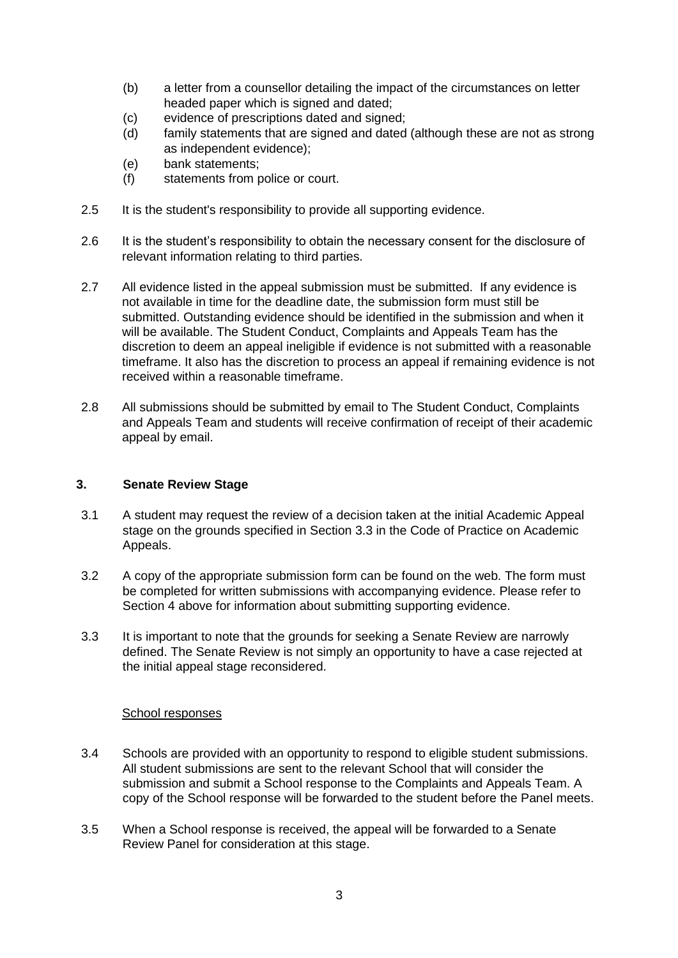- (b) a letter from a counsellor detailing the impact of the circumstances on letter headed paper which is signed and dated;
- (c) evidence of prescriptions dated and signed;
- (d) family statements that are signed and dated (although these are not as strong as independent evidence);
- (e) bank statements;
- (f) statements from police or court.
- 2.5 It is the student's responsibility to provide all supporting evidence.
- 2.6 It is the student's responsibility to obtain the necessary consent for the disclosure of relevant information relating to third parties.
- 2.7 All evidence listed in the appeal submission must be submitted. If any evidence is not available in time for the deadline date, the submission form must still be submitted. Outstanding evidence should be identified in the submission and when it will be available. The Student Conduct, Complaints and Appeals Team has the discretion to deem an appeal ineligible if evidence is not submitted with a reasonable timeframe. It also has the discretion to process an appeal if remaining evidence is not received within a reasonable timeframe.
- 2.8 All submissions should be submitted by email to The Student Conduct, Complaints and Appeals Team and students will receive confirmation of receipt of their academic appeal by email.

## **3. Senate Review Stage**

- 3.1 A student may request the review of a decision taken at the initial Academic Appeal stage on the grounds specified in Section 3.3 in the Code of Practice on Academic Appeals.
- 3.2 A copy of the appropriate submission form can be found on the web. The form must be completed for written submissions with accompanying evidence. Please refer to Section 4 above for information about submitting supporting evidence.
- 3.3 It is important to note that the grounds for seeking a Senate Review are narrowly defined. The Senate Review is not simply an opportunity to have a case rejected at the initial appeal stage reconsidered.

#### School responses

- 3.4 Schools are provided with an opportunity to respond to eligible student submissions. All student submissions are sent to the relevant School that will consider the submission and submit a School response to the Complaints and Appeals Team. A copy of the School response will be forwarded to the student before the Panel meets.
- 3.5 When a School response is received, the appeal will be forwarded to a Senate Review Panel for consideration at this stage.